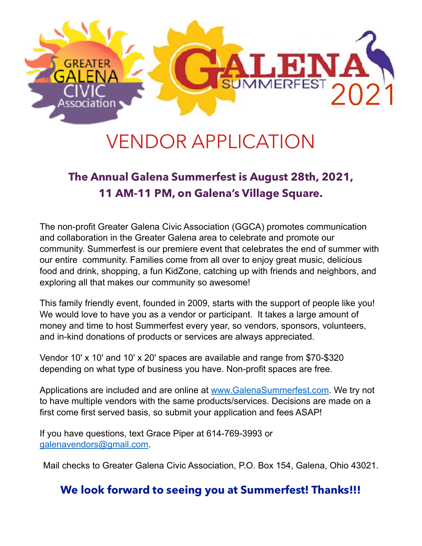

# VENDOR APPLICATION

### **The Annual Galena Summerfest is August 28th, 2021, 11 AM-11 PM, on Galena's Village Square.**

The non-profit Greater Galena Civic Association (GGCA) promotes communication and collaboration in the Greater Galena area to celebrate and promote our community. Summerfest is our premiere event that celebrates the end of summer with our entire community. Families come from all over to enjoy great music, delicious food and drink, shopping, a fun KidZone, catching up with friends and neighbors, and exploring all that makes our community so awesome!

This family friendly event, founded in 2009, starts with the support of people like you! We would love to have you as a vendor or participant. It takes a large amount of money and time to host Summerfest every year, so vendors, sponsors, volunteers, and in-kind donations of products or services are always appreciated.

Vendor 10' x 10' and 10' x 20' spaces are available and range from \$70-\$320 depending on what type of business you have. Non-profit spaces are free.

Applications are included and are online at [www.GalenaSummerfest.com](http://www.GalenaSummerfest.com/). We try not to have multiple vendors with the same products/services. Decisions are made on a first come first served basis, so submit your application and fees ASAP!

If you have questions, text Grace Piper at 614-769-3993 or [galenavendors@gmail.com](mailto:galenavendors@gmail.com).

Mail checks to Greater Galena Civic Association, P.O. Box 154, Galena, Ohio 43021.

#### **We look forward to seeing you at Summerfest! Thanks!!!**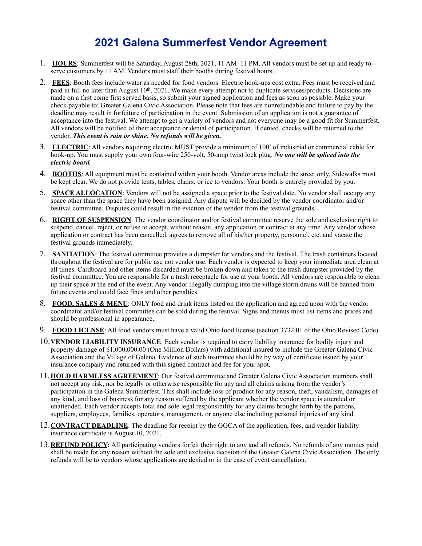### **2021 Galena Summerfest Vendor Agreement**

- 1. **HOURS**: Summerfest will be Saturday, August 28th, 2021, 11 AM–11 PM. All vendors must be set up and ready to serve customers by 11 AM. Vendors must staff their booths during festival hours.
- 2. **FEES**: Booth fees include water as needed for food vendors. Electric hook-ups cost extra. Fees must be received and paid in full no later than August 10<sup>th</sup>, 2021. We make every attempt not to duplicate services/products. Decisions are made on a first come first served basis, so submit your signed application and fees as soon as possible. Make your check payable to: Greater Galena Civic Association. Please note that fees are nonrefundable and failure to pay by the deadline may result in forfeiture of participation in the event. Submission of an application is not a guarantee of acceptance into the festival. We attempt to get a variety of vendors and not everyone may be a good fit for Summerfest. All vendors will be notified of their acceptance or denial of participation. If denied, checks will be returned to the vendor. *This event is rain or shine***.** *No refunds will be given.*
- 3. **ELECTRIC**: All vendors requiring electric MUST provide a minimum of 100' of industrial or commercial cable for hook-up. You must supply your own four-wire 250-volt, 50-amp twist lock plug. *No one will be spliced into the electric board.*
- 4. **BOOTHS**: All equipment must be contained within your booth. Vendor areas include the street only. Sidewalks must be kept clear. We do not provide tents, tables, chairs, or ice to vendors. Your booth is entirely provided by you.
- 5. **SPACE ALLOCATION**: Vendors will not be assigned a space prior to the festival date. No vendor shall occupy any space other than the space they have been assigned. Any dispute will be decided by the vendor coordinator and/or festival committee. Disputes could result in the eviction of the vendor from the festival grounds.
- 6. **RIGHT OF SUSPENSION**: The vendor coordinator and/or festival committee reserve the sole and exclusive right to suspend, cancel, reject, or refuse to accept, without reason, any application or contract at any time. Any vendor whose application or contract has been cancelled, agrees to remove all of his/her property, personnel, etc. and vacate the festival grounds immediately.
- 7. **SANITATION**: The festival committee provides a dumpster for vendors and the festival. The trash containers located throughout the festival are for public use not vendor use. Each vendor is expected to keep your immediate area clean at all times. Cardboard and other items discarded must be broken down and taken to the trash dumpster provided by the festival committee. You are responsible for a trash receptacle for use at your booth. All vendors are responsible to clean up their space at the end of the event. Any vendor illegally dumping into the village storm drains will be banned from future events and could face fines and other penalties.
- 8. **FOOD, SALES & MENU**: ONLY food and drink items listed on the application and agreed upon with the vendor coordinator and/or festival committee can be sold during the festival. Signs and menus must list items and prices and should be professional in appearance,.
- 9. **FOOD LICENSE**: All food vendors must have a valid Ohio food license (section 3732.01 of the Ohio Revised Code).
- 10.**VENDOR LIABILITY INSURANCE**: Each vendor is required to carry liability insurance for bodily injury and property damage of \$1,000,000.00 (One Million Dollars) with additional insured to include the Greater Galena Civic Association and the Village of Galena. Evidence of such insurance should be by way of certificate issued by your insurance company and returned with this signed contract and fee for your spot.
- 11.**HOLD HARMLESS AGREEMENT**: Our festival committee and Greater Galena Civic Association members shall not accept any risk, nor be legally or otherwise responsible for any and all claims arising from the vendor's participation in the Galena Summerfest. This shall include loss of product for any reason, theft, vandalism, damages of any kind, and loss of business for any reason suffered by the applicant whether the vendor space is attended or unattended. Each vendor accepts total and sole legal responsibility for any claims brought forth by the patrons, suppliers, employees, families, operators, management, or anyone else including personal injuries of any kind.
- 12.**CONTRACT DEADLINE**: The deadline for receipt by the GGCA of the application, fees, and vendor liability insurance certificate is August 10, 2021.
- 13.**REFUND POLICY:** All participating vendors forfeit their right to any and all refunds. No refunds of any monies paid shall be made for any reason without the sole and exclusive decision of the Greater Galena Civic Association. The only refunds will be to vendors whose applications are denied or in the case of event cancellation.